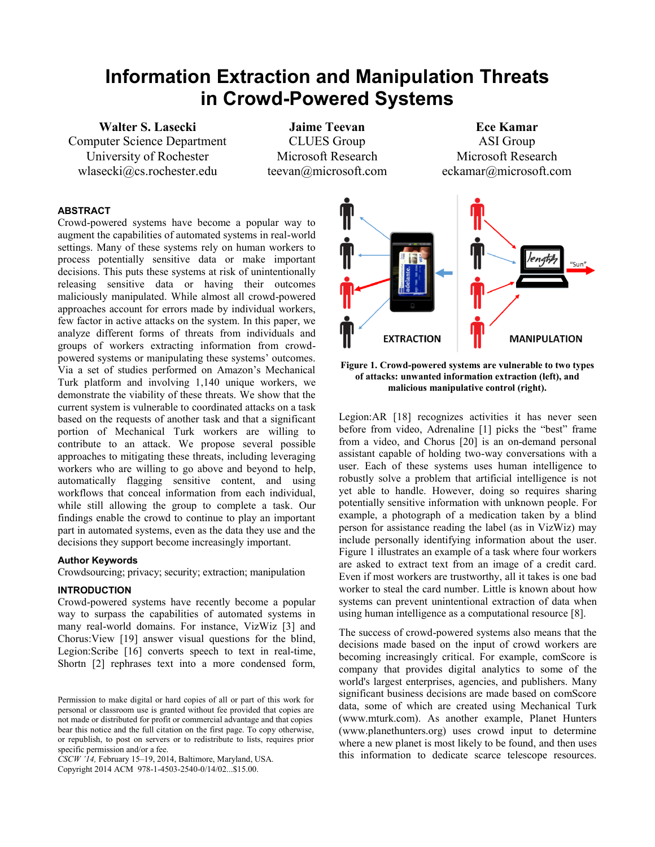# **Information Extraction and Manipulation Threats in Crowd-Powered Systems**

**Walter S. Lasecki** Computer Science Department University of Rochester wlasecki@cs.rochester.edu

**Jaime Teevan** CLUES Group Microsoft Research teevan@microsoft.com

**Ece Kamar** ASI Group Microsoft Research eckamar@microsoft.com

# **ABSTRACT**

Crowd-powered systems have become a popular way to augment the capabilities of automated systems in real-world settings. Many of these systems rely on human workers to process potentially sensitive data or make important decisions. This puts these systems at risk of unintentionally releasing sensitive data or having their outcomes maliciously manipulated. While almost all crowd-powered approaches account for errors made by individual workers, few factor in active attacks on the system. In this paper, we analyze different forms of threats from individuals and groups of workers extracting information from crowdpowered systems or manipulating these systems' outcomes. Via a set of studies performed on Amazon's Mechanical Turk platform and involving 1,140 unique workers, we demonstrate the viability of these threats. We show that the current system is vulnerable to coordinated attacks on a task based on the requests of another task and that a significant portion of Mechanical Turk workers are willing to contribute to an attack. We propose several possible approaches to mitigating these threats, including leveraging workers who are willing to go above and beyond to help, automatically flagging sensitive content, and using workflows that conceal information from each individual, while still allowing the group to complete a task. Our findings enable the crowd to continue to play an important part in automated systems, even as the data they use and the decisions they support become increasingly important.

## **Author Keywords**

Crowdsourcing; privacy; security; extraction; manipulation

### **INTRODUCTION**

Crowd-powered systems have recently become a popular way to surpass the capabilities of automated systems in many real-world domains. For instance, VizWiz [\[3\]](#page-8-0) and Chorus:View [\[19\]](#page-8-1) answer visual questions for the blind, Legion:Scribe [\[16\]](#page-8-2) converts speech to text in real-time, Shortn [\[2\]](#page-8-3) rephrases text into a more condensed form,

*CSCW '14,* February 15–19, 2014, Baltimore, Maryland, USA. Copyright 2014 ACM 978-1-4503-2540-0/14/02...\$15.00.



**Figure 1. Crowd-powered systems are vulnerable to two types of attacks: unwanted information extraction (left), and malicious manipulative control (right).**

Legion:AR [\[18\]](#page-8-4) recognizes activities it has never seen before from video, Adrenaline [\[1\]](#page-8-5) picks the "best" frame from a video, and Chorus [\[20\]](#page-8-6) is an on-demand personal assistant capable of holding two-way conversations with a user. Each of these systems uses human intelligence to robustly solve a problem that artificial intelligence is not yet able to handle. However, doing so requires sharing potentially sensitive information with unknown people. For example, a photograph of a medication taken by a blind person for assistance reading the label (as in VizWiz) may include personally identifying information about the user. Figure 1 illustrates an example of a task where four workers are asked to extract text from an image of a credit card. Even if most workers are trustworthy, all it takes is one bad worker to steal the card number. Little is known about how systems can prevent unintentional extraction of data when using human intelligence as a computational resource [\[8\]](#page-8-7).

The success of crowd-powered systems also means that the decisions made based on the input of crowd workers are becoming increasingly critical. For example, comScore is company that provides digital analytics to some of the world's largest enterprises, agencies, and publishers. Many significant business decisions are made based on comScore data, some of which are created using Mechanical Turk (www.mturk.com). As another example, Planet Hunters (www.planethunters.org) uses crowd input to determine where a new planet is most likely to be found, and then uses this information to dedicate scarce telescope resources.

Permission to make digital or hard copies of all or part of this work for personal or classroom use is granted without fee provided that copies are not made or distributed for profit or commercial advantage and that copies bear this notice and the full citation on the first page. To copy otherwise, or republish, to post on servers or to redistribute to lists, requires prior specific permission and/or a fee.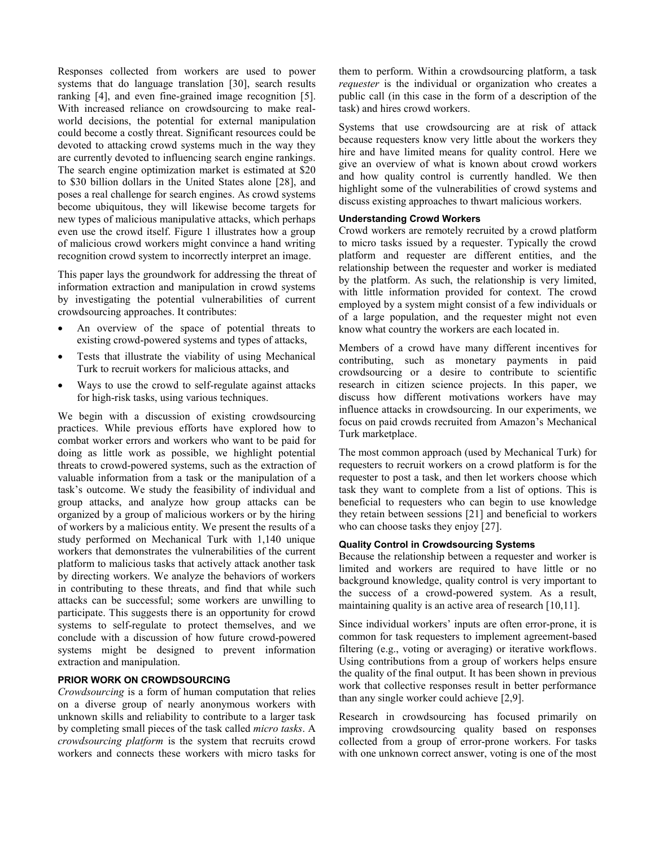Responses collected from workers are used to power systems that do language translation [\[30\]](#page-8-8), search results ranking [\[4\]](#page-8-9), and even fine-grained image recognition [\[5\]](#page-8-10). With increased reliance on crowdsourcing to make realworld decisions, the potential for external manipulation could become a costly threat. Significant resources could be devoted to attacking crowd systems much in the way they are currently devoted to influencing search engine rankings. The search engine optimization market is estimated at \$20 to \$30 billion dollars in the United States alone [\[28\]](#page-8-11), and poses a real challenge for search engines. As crowd systems become ubiquitous, they will likewise become targets for new types of malicious manipulative attacks, which perhaps even use the crowd itself. Figure 1 illustrates how a group of malicious crowd workers might convince a hand writing recognition crowd system to incorrectly interpret an image.

This paper lays the groundwork for addressing the threat of information extraction and manipulation in crowd systems by investigating the potential vulnerabilities of current crowdsourcing approaches. It contributes:

- An overview of the space of potential threats to existing crowd-powered systems and types of attacks,
- Tests that illustrate the viability of using Mechanical Turk to recruit workers for malicious attacks, and
- Ways to use the crowd to self-regulate against attacks for high-risk tasks, using various techniques.

We begin with a discussion of existing crowdsourcing practices. While previous efforts have explored how to combat worker errors and workers who want to be paid for doing as little work as possible, we highlight potential threats to crowd-powered systems, such as the extraction of valuable information from a task or the manipulation of a task's outcome. We study the feasibility of individual and group attacks, and analyze how group attacks can be organized by a group of malicious workers or by the hiring of workers by a malicious entity. We present the results of a study performed on Mechanical Turk with 1,140 unique workers that demonstrates the vulnerabilities of the current platform to malicious tasks that actively attack another task by directing workers. We analyze the behaviors of workers in contributing to these threats, and find that while such attacks can be successful; some workers are unwilling to participate. This suggests there is an opportunity for crowd systems to self-regulate to protect themselves, and we conclude with a discussion of how future crowd-powered systems might be designed to prevent information extraction and manipulation.

## **PRIOR WORK ON CROWDSOURCING**

*Crowdsourcing* is a form of human computation that relies on a diverse group of nearly anonymous workers with unknown skills and reliability to contribute to a larger task by completing small pieces of the task called *micro tasks*. A *crowdsourcing platform* is the system that recruits crowd workers and connects these workers with micro tasks for

them to perform. Within a crowdsourcing platform, a task *requester* is the individual or organization who creates a public call (in this case in the form of a description of the task) and hires crowd workers.

Systems that use crowdsourcing are at risk of attack because requesters know very little about the workers they hire and have limited means for quality control. Here we give an overview of what is known about crowd workers and how quality control is currently handled. We then highlight some of the vulnerabilities of crowd systems and discuss existing approaches to thwart malicious workers.

## **Understanding Crowd Workers**

Crowd workers are remotely recruited by a crowd platform to micro tasks issued by a requester. Typically the crowd platform and requester are different entities, and the relationship between the requester and worker is mediated by the platform. As such, the relationship is very limited, with little information provided for context. The crowd employed by a system might consist of a few individuals or of a large population, and the requester might not even know what country the workers are each located in.

Members of a crowd have many different incentives for contributing, such as monetary payments in paid crowdsourcing or a desire to contribute to scientific research in citizen science projects. In this paper, we discuss how different motivations workers have may influence attacks in crowdsourcing. In our experiments, we focus on paid crowds recruited from Amazon's Mechanical Turk marketplace.

The most common approach (used by Mechanical Turk) for requesters to recruit workers on a crowd platform is for the requester to post a task, and then let workers choose which task they want to complete from a list of options. This is beneficial to requesters who can begin to use knowledge they retain between sessions [\[21\]](#page-8-12) and beneficial to workers who can choose tasks they enjoy [\[27\]](#page-8-13).

# **Quality Control in Crowdsourcing Systems**

Because the relationship between a requester and worker is limited and workers are required to have little or no background knowledge, quality control is very important to the success of a crowd-powered system. As a result, maintaining quality is an active area of research [\[10](#page-8-14)[,11\]](#page-8-15).

Since individual workers' inputs are often error-prone, it is common for task requesters to implement agreement-based filtering (e.g., voting or averaging) or iterative workflows. Using contributions from a group of workers helps ensure the quality of the final output. It has been shown in previous work that collective responses result in better performance than any single worker could achieve [\[2,](#page-8-3)[9\]](#page-8-16).

Research in crowdsourcing has focused primarily on improving crowdsourcing quality based on responses collected from a group of error-prone workers. For tasks with one unknown correct answer, voting is one of the most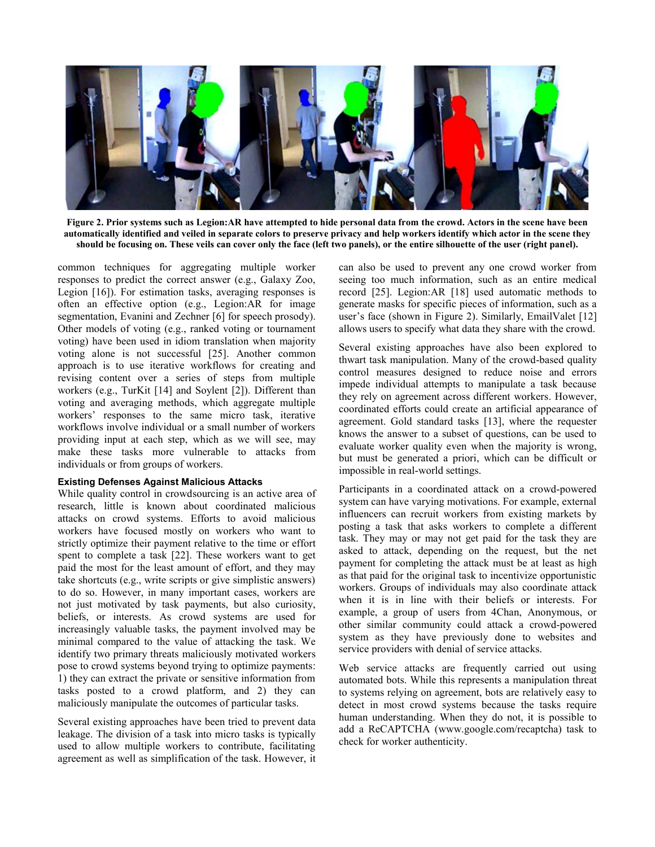

**Figure 2. Prior systems such as Legion:AR have attempted to hide personal data from the crowd. Actors in the scene have been automatically identified and veiled in separate colors to preserve privacy and help workers identify which actor in the scene they should be focusing on. These veils can cover only the face (left two panels), or the entire silhouette of the user (right panel).**

common techniques for aggregating multiple worker responses to predict the correct answer (e.g., Galaxy Zoo, Legion [\[16\]](#page-8-2)). For estimation tasks, averaging responses is often an effective option (e.g., Legion:AR for image segmentation, Evanini and Zechner [\[6\]](#page-8-17) for speech prosody). Other models of voting (e.g., ranked voting or tournament voting) have been used in idiom translation when majority voting alone is not successful [\[25\]](#page-8-18). Another common approach is to use iterative workflows for creating and revising content over a series of steps from multiple workers (e.g., TurKit [\[14\]](#page-8-19) and Soylent [\[2\]](#page-8-3)). Different than voting and averaging methods, which aggregate multiple workers' responses to the same micro task, iterative workflows involve individual or a small number of workers providing input at each step, which as we will see, may make these tasks more vulnerable to attacks from individuals or from groups of workers.

## **Existing Defenses Against Malicious Attacks**

While quality control in crowdsourcing is an active area of research, little is known about coordinated malicious attacks on crowd systems. Efforts to avoid malicious workers have focused mostly on workers who want to strictly optimize their payment relative to the time or effort spent to complete a task [\[22\]](#page-8-20). These workers want to get paid the most for the least amount of effort, and they may take shortcuts (e.g., write scripts or give simplistic answers) to do so. However, in many important cases, workers are not just motivated by task payments, but also curiosity, beliefs, or interests. As crowd systems are used for increasingly valuable tasks, the payment involved may be minimal compared to the value of attacking the task. We identify two primary threats maliciously motivated workers pose to crowd systems beyond trying to optimize payments: 1) they can extract the private or sensitive information from tasks posted to a crowd platform, and 2) they can maliciously manipulate the outcomes of particular tasks.

Several existing approaches have been tried to prevent data leakage. The division of a task into micro tasks is typically used to allow multiple workers to contribute, facilitating agreement as well as simplification of the task. However, it can also be used to prevent any one crowd worker from seeing too much information, such as an entire medical record [\[25\]](#page-8-18). Legion:AR [\[18\]](#page-8-4) used automatic methods to generate masks for specific pieces of information, such as a user's face (shown in Figure 2). Similarly, EmailValet [\[12\]](#page-8-21) allows users to specify what data they share with the crowd.

Several existing approaches have also been explored to thwart task manipulation. Many of the crowd-based quality control measures designed to reduce noise and errors impede individual attempts to manipulate a task because they rely on agreement across different workers. However, coordinated efforts could create an artificial appearance of agreement. Gold standard tasks [\[13\]](#page-8-22), where the requester knows the answer to a subset of questions, can be used to evaluate worker quality even when the majority is wrong, but must be generated a priori, which can be difficult or impossible in real-world settings.

Participants in a coordinated attack on a crowd-powered system can have varying motivations. For example, external influencers can recruit workers from existing markets by posting a task that asks workers to complete a different task. They may or may not get paid for the task they are asked to attack, depending on the request, but the net payment for completing the attack must be at least as high as that paid for the original task to incentivize opportunistic workers. Groups of individuals may also coordinate attack when it is in line with their beliefs or interests. For example, a group of users from 4Chan, Anonymous, or other similar community could attack a crowd-powered system as they have previously done to websites and service providers with denial of service attacks.

Web service attacks are frequently carried out using automated bots. While this represents a manipulation threat to systems relying on agreement, bots are relatively easy to detect in most crowd systems because the tasks require human understanding. When they do not, it is possible to add a ReCAPTCHA (www.google.com/recaptcha) task to check for worker authenticity.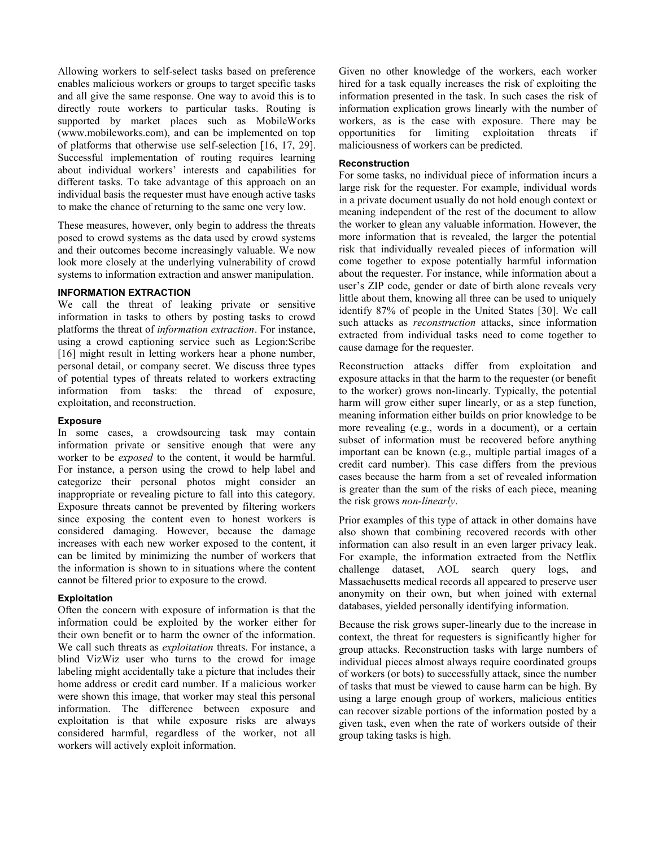Allowing workers to self-select tasks based on preference enables malicious workers or groups to target specific tasks and all give the same response. One way to avoid this is to directly route workers to particular tasks. Routing is supported by market places such as MobileWorks (www.mobileworks.com), and can be implemented on top of platforms that otherwise use self-selection [\[16,](#page-8-2) [17,](#page-8-23) [29\]](#page-8-24). Successful implementation of routing requires learning about individual workers' interests and capabilities for different tasks. To take advantage of this approach on an individual basis the requester must have enough active tasks to make the chance of returning to the same one very low.

These measures, however, only begin to address the threats posed to crowd systems as the data used by crowd systems and their outcomes become increasingly valuable. We now look more closely at the underlying vulnerability of crowd systems to information extraction and answer manipulation.

## **INFORMATION EXTRACTION**

We call the threat of leaking private or sensitive information in tasks to others by posting tasks to crowd platforms the threat of *information extraction*. For instance, using a crowd captioning service such as Legion:Scribe [\[16\]](#page-8-2) might result in letting workers hear a phone number, personal detail, or company secret. We discuss three types of potential types of threats related to workers extracting information from tasks: the thread of exposure, exploitation, and reconstruction.

## **Exposure**

In some cases, a crowdsourcing task may contain information private or sensitive enough that were any worker to be *exposed* to the content, it would be harmful. For instance, a person using the crowd to help label and categorize their personal photos might consider an inappropriate or revealing picture to fall into this category. Exposure threats cannot be prevented by filtering workers since exposing the content even to honest workers is considered damaging. However, because the damage increases with each new worker exposed to the content, it can be limited by minimizing the number of workers that the information is shown to in situations where the content cannot be filtered prior to exposure to the crowd.

## **Exploitation**

Often the concern with exposure of information is that the information could be exploited by the worker either for their own benefit or to harm the owner of the information. We call such threats as *exploitation* threats. For instance, a blind VizWiz user who turns to the crowd for image labeling might accidentally take a picture that includes their home address or credit card number. If a malicious worker were shown this image, that worker may steal this personal information. The difference between exposure and exploitation is that while exposure risks are always considered harmful, regardless of the worker, not all workers will actively exploit information.

Given no other knowledge of the workers, each worker hired for a task equally increases the risk of exploiting the information presented in the task. In such cases the risk of information explication grows linearly with the number of workers, as is the case with exposure. There may be opportunities for limiting exploitation threats if maliciousness of workers can be predicted.

#### **Reconstruction**

For some tasks, no individual piece of information incurs a large risk for the requester. For example, individual words in a private document usually do not hold enough context or meaning independent of the rest of the document to allow the worker to glean any valuable information. However, the more information that is revealed, the larger the potential risk that individually revealed pieces of information will come together to expose potentially harmful information about the requester. For instance, while information about a user's ZIP code, gender or date of birth alone reveals very little about them, knowing all three can be used to uniquely identify 87% of people in the United States [\[30\]](#page-8-8). We call such attacks as *reconstruction* attacks, since information extracted from individual tasks need to come together to cause damage for the requester.

Reconstruction attacks differ from exploitation and exposure attacks in that the harm to the requester (or benefit to the worker) grows non-linearly. Typically, the potential harm will grow either super linearly, or as a step function, meaning information either builds on prior knowledge to be more revealing (e.g., words in a document), or a certain subset of information must be recovered before anything important can be known (e.g., multiple partial images of a credit card number). This case differs from the previous cases because the harm from a set of revealed information is greater than the sum of the risks of each piece, meaning the risk grows *non-linearly*.

Prior examples of this type of attack in other domains have also shown that combining recovered records with other information can also result in an even larger privacy leak. For example, the information extracted from the Netflix challenge dataset, AOL search query logs, and Massachusetts medical records all appeared to preserve user anonymity on their own, but when joined with external databases, yielded personally identifying information.

Because the risk grows super-linearly due to the increase in context, the threat for requesters is significantly higher for group attacks. Reconstruction tasks with large numbers of individual pieces almost always require coordinated groups of workers (or bots) to successfully attack, since the number of tasks that must be viewed to cause harm can be high. By using a large enough group of workers, malicious entities can recover sizable portions of the information posted by a given task, even when the rate of workers outside of their group taking tasks is high.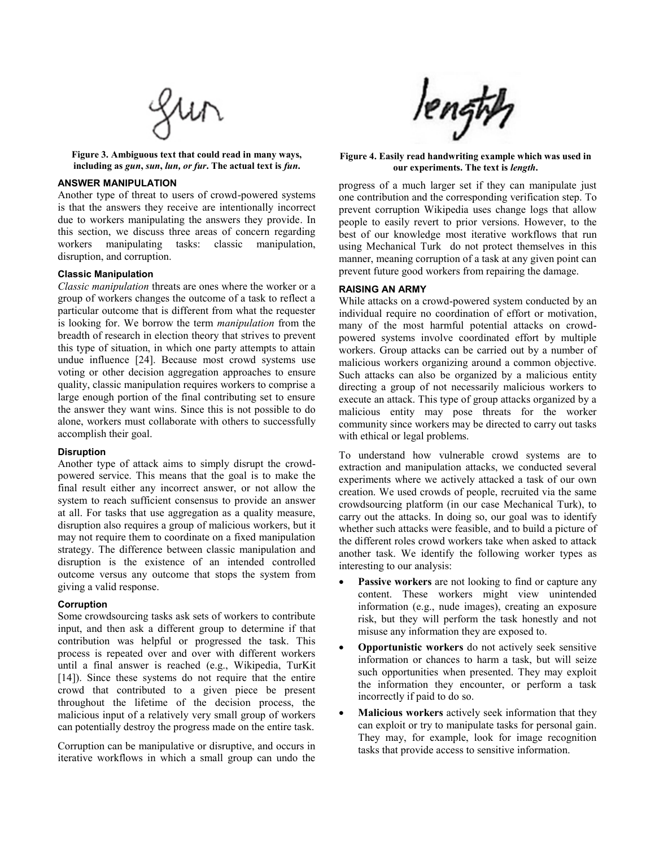

**Figure 3. Ambiguous text that could read in many ways, including as** *gun***,** *sun***,** *lun, or fur***. The actual text is** *fun***.**

# **ANSWER MANIPULATION**

Another type of threat to users of crowd-powered systems is that the answers they receive are intentionally incorrect due to workers manipulating the answers they provide. In this section, we discuss three areas of concern regarding workers manipulating tasks: classic manipulation, disruption, and corruption.

#### **Classic Manipulation**

*Classic manipulation* threats are ones where the worker or a group of workers changes the outcome of a task to reflect a particular outcome that is different from what the requester is looking for. We borrow the term *manipulation* from the breadth of research in election theory that strives to prevent this type of situation, in which one party attempts to attain undue influence [\[24\]](#page-8-25). Because most crowd systems use voting or other decision aggregation approaches to ensure quality, classic manipulation requires workers to comprise a large enough portion of the final contributing set to ensure the answer they want wins. Since this is not possible to do alone, workers must collaborate with others to successfully accomplish their goal.

#### **Disruption**

Another type of attack aims to simply disrupt the crowdpowered service. This means that the goal is to make the final result either any incorrect answer, or not allow the system to reach sufficient consensus to provide an answer at all. For tasks that use aggregation as a quality measure, disruption also requires a group of malicious workers, but it may not require them to coordinate on a fixed manipulation strategy. The difference between classic manipulation and disruption is the existence of an intended controlled outcome versus any outcome that stops the system from giving a valid response.

#### **Corruption**

Some crowdsourcing tasks ask sets of workers to contribute input, and then ask a different group to determine if that contribution was helpful or progressed the task. This process is repeated over and over with different workers until a final answer is reached (e.g., Wikipedia, TurKit [\[14\]](#page-8-19)). Since these systems do not require that the entire crowd that contributed to a given piece be present throughout the lifetime of the decision process, the malicious input of a relatively very small group of workers can potentially destroy the progress made on the entire task.

Corruption can be manipulative or disruptive, and occurs in iterative workflows in which a small group can undo the



**Figure 4. Easily read handwriting example which was used in our experiments. The text is** *length***.**

progress of a much larger set if they can manipulate just one contribution and the corresponding verification step. To prevent corruption Wikipedia uses change logs that allow people to easily revert to prior versions. However, to the best of our knowledge most iterative workflows that run using Mechanical Turk do not protect themselves in this manner, meaning corruption of a task at any given point can prevent future good workers from repairing the damage.

## **RAISING AN ARMY**

While attacks on a crowd-powered system conducted by an individual require no coordination of effort or motivation, many of the most harmful potential attacks on crowdpowered systems involve coordinated effort by multiple workers. Group attacks can be carried out by a number of malicious workers organizing around a common objective. Such attacks can also be organized by a malicious entity directing a group of not necessarily malicious workers to execute an attack. This type of group attacks organized by a malicious entity may pose threats for the worker community since workers may be directed to carry out tasks with ethical or legal problems.

To understand how vulnerable crowd systems are to extraction and manipulation attacks, we conducted several experiments where we actively attacked a task of our own creation. We used crowds of people, recruited via the same crowdsourcing platform (in our case Mechanical Turk), to carry out the attacks. In doing so, our goal was to identify whether such attacks were feasible, and to build a picture of the different roles crowd workers take when asked to attack another task. We identify the following worker types as interesting to our analysis:

- **Passive workers** are not looking to find or capture any content. These workers might view unintended information (e.g., nude images), creating an exposure risk, but they will perform the task honestly and not misuse any information they are exposed to.
- **Opportunistic workers** do not actively seek sensitive information or chances to harm a task, but will seize such opportunities when presented. They may exploit the information they encounter, or perform a task incorrectly if paid to do so.
- **Malicious workers** actively seek information that they can exploit or try to manipulate tasks for personal gain. They may, for example, look for image recognition tasks that provide access to sensitive information.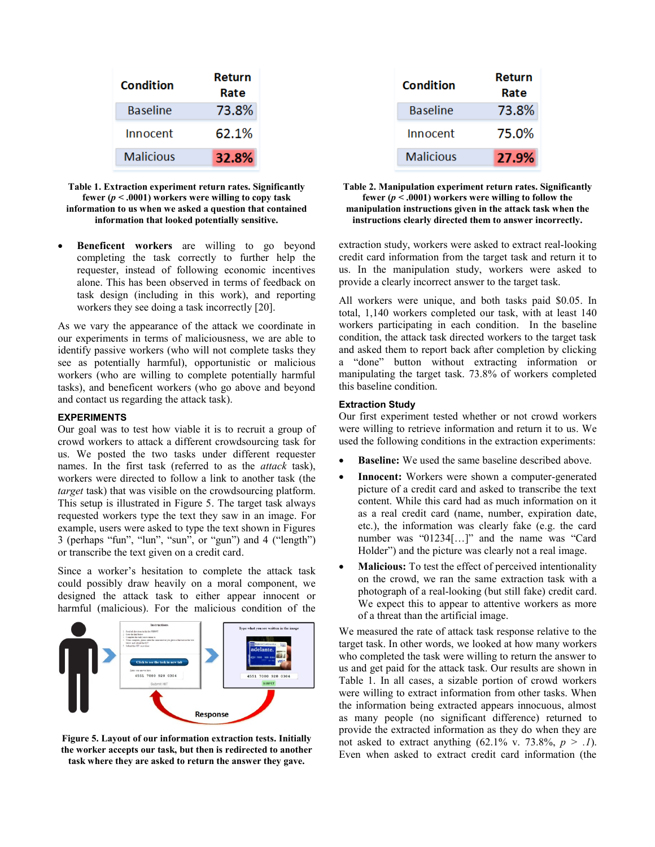| Condition       | Return<br>Rate |  |
|-----------------|----------------|--|
| <b>Baseline</b> | 73.8%          |  |
| Innocent        | 62.1%          |  |
| Malicious       | 32.8%          |  |

**Table 1. Extraction experiment return rates. Significantly fewer (***p* **< .0001) workers were willing to copy task information to us when we asked a question that contained information that looked potentially sensitive.**

 **Beneficent workers** are willing to go beyond completing the task correctly to further help the requester, instead of following economic incentives alone. This has been observed in terms of feedback on task design (including in this work), and reporting workers they see doing a task incorrectly [\[20\]](#page-8-6).

As we vary the appearance of the attack we coordinate in our experiments in terms of maliciousness, we are able to identify passive workers (who will not complete tasks they see as potentially harmful), opportunistic or malicious workers (who are willing to complete potentially harmful tasks), and beneficent workers (who go above and beyond and contact us regarding the attack task).

## **EXPERIMENTS**

Our goal was to test how viable it is to recruit a group of crowd workers to attack a different crowdsourcing task for us. We posted the two tasks under different requester names. In the first task (referred to as the *attack* task), workers were directed to follow a link to another task (the *target* task) that was visible on the crowdsourcing platform. This setup is illustrated in Figure 5. The target task always requested workers type the text they saw in an image. For example, users were asked to type the text shown in Figures 3 (perhaps "fun", "lun", "sun", or "gun") and 4 ("length") or transcribe the text given on a credit card.

Since a worker's hesitation to complete the attack task could possibly draw heavily on a moral component, we designed the attack task to either appear innocent or harmful (malicious). For the malicious condition of the



**Figure 5. Layout of our information extraction tests. Initially the worker accepts our task, but then is redirected to another task where they are asked to return the answer they gave.**

| Condition       | Return<br>Rate |
|-----------------|----------------|
| <b>Baseline</b> | 73.8%          |
| Innocent        | 75.0%          |
| Malicious       | 27.9%          |

#### **Table 2. Manipulation experiment return rates. Significantly fewer (***p* **< .0001) workers were willing to follow the manipulation instructions given in the attack task when the instructions clearly directed them to answer incorrectly.**

extraction study, workers were asked to extract real-looking credit card information from the target task and return it to us. In the manipulation study, workers were asked to provide a clearly incorrect answer to the target task.

All workers were unique, and both tasks paid \$0.05. In total, 1,140 workers completed our task, with at least 140 workers participating in each condition. In the baseline condition, the attack task directed workers to the target task and asked them to report back after completion by clicking a "done" button without extracting information or manipulating the target task. 73.8% of workers completed this baseline condition.

## **Extraction Study**

Our first experiment tested whether or not crowd workers were willing to retrieve information and return it to us. We used the following conditions in the extraction experiments:

- **Baseline:** We used the same baseline described above.
- **Innocent:** Workers were shown a computer-generated picture of a credit card and asked to transcribe the text content. While this card had as much information on it as a real credit card (name, number, expiration date, etc.), the information was clearly fake (e.g. the card number was "01234[...]" and the name was "Card Holder") and the picture was clearly not a real image.
- **Malicious:** To test the effect of perceived intentionality on the crowd, we ran the same extraction task with a photograph of a real-looking (but still fake) credit card. We expect this to appear to attentive workers as more of a threat than the artificial image.

We measured the rate of attack task response relative to the target task. In other words, we looked at how many workers who completed the task were willing to return the answer to us and get paid for the attack task. Our results are shown in Table 1. In all cases, a sizable portion of crowd workers were willing to extract information from other tasks. When the information being extracted appears innocuous, almost as many people (no significant difference) returned to provide the extracted information as they do when they are not asked to extract anything  $(62.1\% \text{ v. } 73.8\%, p > .1)$ . Even when asked to extract credit card information (the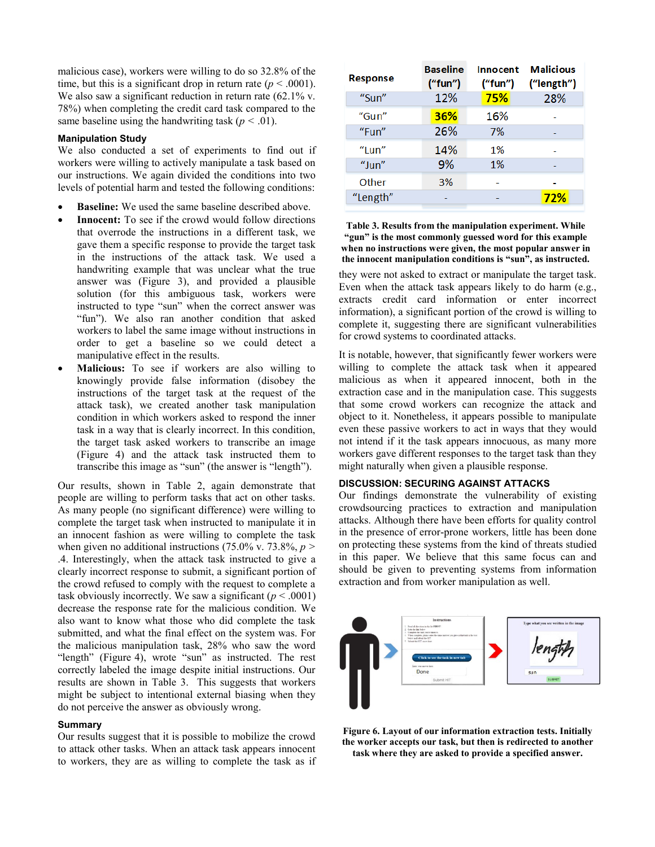malicious case), workers were willing to do so 32.8% of the time, but this is a significant drop in return rate  $(p < .0001)$ . We also saw a significant reduction in return rate  $(62.1\%$  v. 78%) when completing the credit card task compared to the same baseline using the handwriting task  $(p < .01)$ .

## **Manipulation Study**

We also conducted a set of experiments to find out if workers were willing to actively manipulate a task based on our instructions. We again divided the conditions into two levels of potential harm and tested the following conditions:

- **Baseline:** We used the same baseline described above.
- **Innocent:** To see if the crowd would follow directions that overrode the instructions in a different task, we gave them a specific response to provide the target task in the instructions of the attack task. We used a handwriting example that was unclear what the true answer was (Figure 3), and provided a plausible solution (for this ambiguous task, workers were instructed to type "sun" when the correct answer was "fun"). We also ran another condition that asked workers to label the same image without instructions in order to get a baseline so we could detect a manipulative effect in the results.
- **Malicious:** To see if workers are also willing to knowingly provide false information (disobey the instructions of the target task at the request of the attack task), we created another task manipulation condition in which workers asked to respond the inner task in a way that is clearly incorrect. In this condition, the target task asked workers to transcribe an image (Figure 4) and the attack task instructed them to transcribe this image as "sun" (the answer is "length").

Our results, shown in Table 2, again demonstrate that people are willing to perform tasks that act on other tasks. As many people (no significant difference) were willing to complete the target task when instructed to manipulate it in an innocent fashion as were willing to complete the task when given no additional instructions (75.0% v. 73.8%,  $p >$ .4. Interestingly, when the attack task instructed to give a clearly incorrect response to submit, a significant portion of the crowd refused to comply with the request to complete a task obviously incorrectly. We saw a significant  $(p < .0001)$ decrease the response rate for the malicious condition. We also want to know what those who did complete the task submitted, and what the final effect on the system was. For the malicious manipulation task, 28% who saw the word "length" (Figure 4), wrote "sun" as instructed. The rest correctly labeled the image despite initial instructions. Our results are shown in Table 3. This suggests that workers might be subject to intentional external biasing when they do not perceive the answer as obviously wrong.

#### **Summary**

Our results suggest that it is possible to mobilize the crowd to attack other tasks. When an attack task appears innocent to workers, they are as willing to complete the task as if

| <b>Response</b> | <b>Baseline</b><br>("fun") | <b>Innocent</b><br>("fun") | <b>Malicious</b><br>("length") |
|-----------------|----------------------------|----------------------------|--------------------------------|
| "Sun"           | 12%                        | 75%                        | 28%                            |
| "Gun"           | 36%                        | 16%                        |                                |
| "Fun"           | 26%                        | 7%                         |                                |
| "I un"          | 14%                        | 1%                         |                                |
| "Jun"           | 9%                         | 1%                         |                                |
| Other           | 3%                         |                            |                                |
| "Length"        |                            |                            | 72%                            |

#### **Table 3. Results from the manipulation experiment. While "gun" is the most commonly guessed word for this example when no instructions were given, the most popular answer in the innocent manipulation conditions is "sun", as instructed.**

they were not asked to extract or manipulate the target task. Even when the attack task appears likely to do harm (e.g., extracts credit card information or enter incorrect information), a significant portion of the crowd is willing to complete it, suggesting there are significant vulnerabilities for crowd systems to coordinated attacks.

It is notable, however, that significantly fewer workers were willing to complete the attack task when it appeared malicious as when it appeared innocent, both in the extraction case and in the manipulation case. This suggests that some crowd workers can recognize the attack and object to it. Nonetheless, it appears possible to manipulate even these passive workers to act in ways that they would not intend if it the task appears innocuous, as many more workers gave different responses to the target task than they might naturally when given a plausible response.

## **DISCUSSION: SECURING AGAINST ATTACKS**

Our findings demonstrate the vulnerability of existing crowdsourcing practices to extraction and manipulation attacks. Although there have been efforts for quality control in the presence of error-prone workers, little has been done on protecting these systems from the kind of threats studied in this paper. We believe that this same focus can and should be given to preventing systems from information extraction and from worker manipulation as well.



**Figure 6. Layout of our information extraction tests. Initially the worker accepts our task, but then is redirected to another task where they are asked to provide a specified answer.**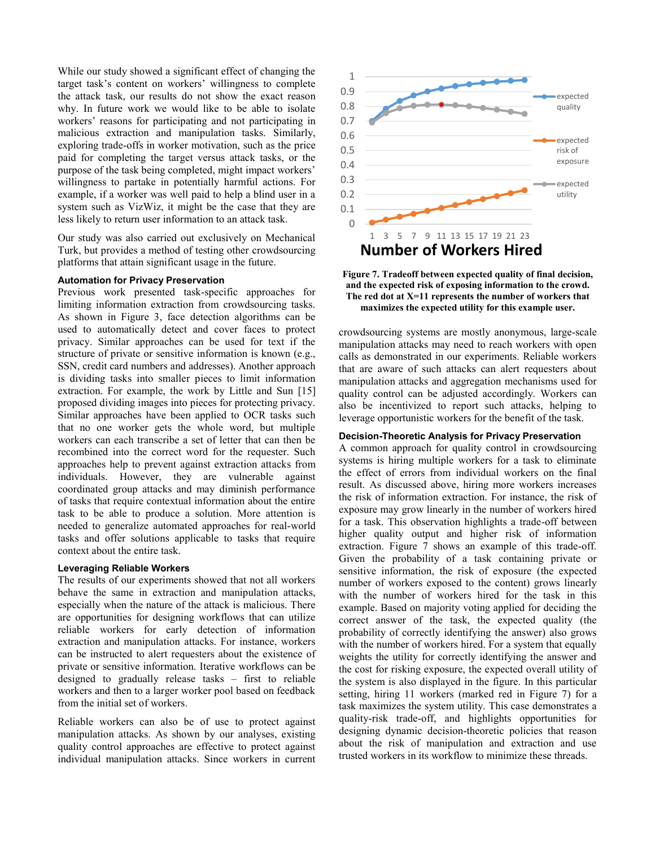While our study showed a significant effect of changing the target task's content on workers' willingness to complete the attack task, our results do not show the exact reason why. In future work we would like to be able to isolate workers' reasons for participating and not participating in malicious extraction and manipulation tasks. Similarly, exploring trade-offs in worker motivation, such as the price paid for completing the target versus attack tasks, or the purpose of the task being completed, might impact workers' willingness to partake in potentially harmful actions. For example, if a worker was well paid to help a blind user in a system such as VizWiz, it might be the case that they are less likely to return user information to an attack task.

Our study was also carried out exclusively on Mechanical Turk, but provides a method of testing other crowdsourcing platforms that attain significant usage in the future.

#### **Automation for Privacy Preservation**

Previous work presented task-specific approaches for limiting information extraction from crowdsourcing tasks. As shown in Figure 3, face detection algorithms can be used to automatically detect and cover faces to protect privacy. Similar approaches can be used for text if the structure of private or sensitive information is known (e.g., SSN, credit card numbers and addresses). Another approach is dividing tasks into smaller pieces to limit information extraction. For example, the work by Little and Sun [\[15\]](#page-8-26) proposed dividing images into pieces for protecting privacy. Similar approaches have been applied to OCR tasks such that no one worker gets the whole word, but multiple workers can each transcribe a set of letter that can then be recombined into the correct word for the requester. Such approaches help to prevent against extraction attacks from individuals. However, they are vulnerable against coordinated group attacks and may diminish performance of tasks that require contextual information about the entire task to be able to produce a solution. More attention is needed to generalize automated approaches for real-world tasks and offer solutions applicable to tasks that require context about the entire task.

#### **Leveraging Reliable Workers**

The results of our experiments showed that not all workers behave the same in extraction and manipulation attacks, especially when the nature of the attack is malicious. There are opportunities for designing workflows that can utilize reliable workers for early detection of information extraction and manipulation attacks. For instance, workers can be instructed to alert requesters about the existence of private or sensitive information. Iterative workflows can be designed to gradually release tasks – first to reliable workers and then to a larger worker pool based on feedback from the initial set of workers.

Reliable workers can also be of use to protect against manipulation attacks. As shown by our analyses, existing quality control approaches are effective to protect against individual manipulation attacks. Since workers in current



**Figure 7. Tradeoff between expected quality of final decision, and the expected risk of exposing information to the crowd. The red dot at X=11 represents the number of workers that maximizes the expected utility for this example user.**

crowdsourcing systems are mostly anonymous, large-scale manipulation attacks may need to reach workers with open calls as demonstrated in our experiments. Reliable workers that are aware of such attacks can alert requesters about manipulation attacks and aggregation mechanisms used for quality control can be adjusted accordingly. Workers can also be incentivized to report such attacks, helping to leverage opportunistic workers for the benefit of the task.

## **Decision-Theoretic Analysis for Privacy Preservation**

A common approach for quality control in crowdsourcing systems is hiring multiple workers for a task to eliminate the effect of errors from individual workers on the final result. As discussed above, hiring more workers increases the risk of information extraction. For instance, the risk of exposure may grow linearly in the number of workers hired for a task. This observation highlights a trade-off between higher quality output and higher risk of information extraction. Figure 7 shows an example of this trade-off. Given the probability of a task containing private or sensitive information, the risk of exposure (the expected number of workers exposed to the content) grows linearly with the number of workers hired for the task in this example. Based on majority voting applied for deciding the correct answer of the task, the expected quality (the probability of correctly identifying the answer) also grows with the number of workers hired. For a system that equally weights the utility for correctly identifying the answer and the cost for risking exposure, the expected overall utility of the system is also displayed in the figure. In this particular setting, hiring 11 workers (marked red in Figure 7) for a task maximizes the system utility. This case demonstrates a quality-risk trade-off, and highlights opportunities for designing dynamic decision-theoretic policies that reason about the risk of manipulation and extraction and use trusted workers in its workflow to minimize these threads.